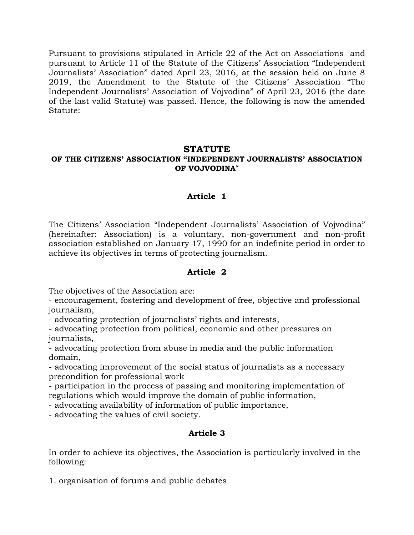Pursuant to provisions stipulated in Article 22 of the Act on Associations and pursuant to Article 11 of the Statute of the Citizens' Association "Independent Journalists' Association" dated April 23, 2016, at the session held on June 8 2019, the Amendment to the Statute of the Citizens' Association "The Independent Journalists' Association of Vojvodina" of April 23, 2016 (the date of the last valid Statute) was passed. Hence, the following is now the amended Statute:

### **STATUTE OF THE CITIZENS' ASSOCIATION "INDEPENDENT JOURNALISTS' ASSOCIATION OF VOJVODINA**"

# **Article 1**

The Citizens' Association "Independent Journalists' Association of Vojvodina" (hereinafter: Association) is a voluntary, non-government and non-profit association established on January 17, 1990 for an indefinite period in order to achieve its objectives in terms of protecting journalism.

#### **Article 2**

The objectives of the Association are:

- encouragement, fostering and development of free, objective and professional journalism,

- advocating protection of journalists' rights and interests,

- advocating protection from political, economic and other pressures on journalists,

- advocating protection from abuse in media and the public information domain,

- advocating improvement of the social status of journalists as a necessary precondition for professional work

- participation in the process of passing and monitoring implementation of regulations which would improve the domain of public information,

- advocating availability of information of public importance,

- advocating the values of civil society.

# **Article 3**

In order to achieve its objectives, the Association is particularly involved in the following:

1. organisation of forums and public debates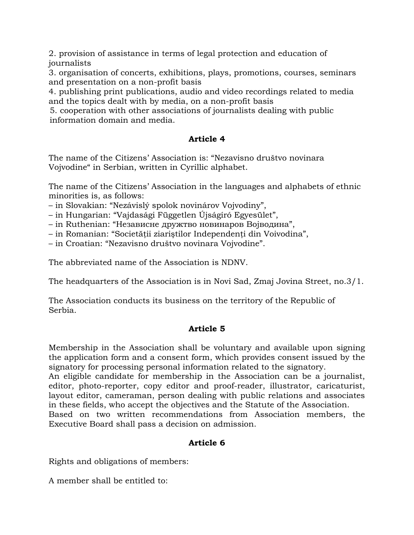2. provision of assistance in terms of legal protection and education of journalists

3. organisation of concerts, exhibitions, plays, promotions, courses, seminars and presentation on a non-profit basis

4. publishing print publications, audio and video recordings related to media and the topics dealt with by media, on a non-profit basis

5. cooperation with other associations of journalists dealing with public information domain and media.

# **Article 4**

The name of the Citizens' Association is: "Nezavisno društvo novinara Vojvodine" in Serbian, written in Cyrillic alphabet.

The name of the Citizens' Association in the languages and alphabets of ethnic minorities is, as follows:

– in Slovakian: "Nezávislý spolok novinárov Vojvodiny",

– in Hungarian: "Vajdasági Független Újságíró Egyesület",

– in Ruthenian: "Независне дружтво новинаров Војводина",

– in Romanian: "Societăţii ziariştilor Independenţi din Voivodina",

– in Croatian: "Nezavisno društvo novinara Vojvodine".

The abbreviated name of the Association is NDNV.

The headquarters of the Association is in Novi Sad, Zmaj Jovina Street, no.3/1.

The Association conducts its business on the territory of the Republic of Serbia.

# **Article 5**

Membership in the Association shall be voluntary and available upon signing the application form and a consent form, which provides consent issued by the signatory for processing personal information related to the signatory.

An eligible candidate for membership in the Association can be a journalist, editor, photo-reporter, copy editor and proof-reader, illustrator, caricaturist, layout editor, cameraman, person dealing with public relations and associates in these fields, who accept the objectives and the Statute of the Association.

Based on two written recommendations from Association members, the Executive Board shall pass a decision on admission.

# **Article 6**

Rights and obligations of members:

A member shall be entitled to: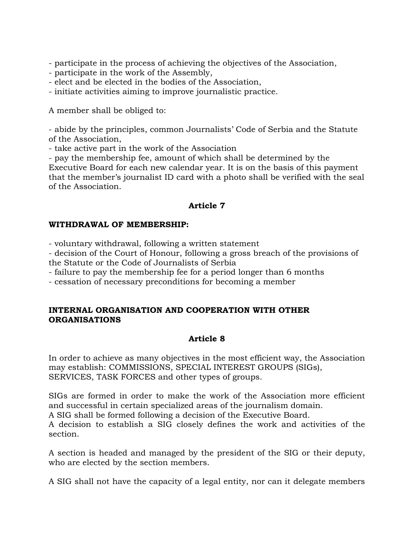- participate in the process of achieving the objectives of the Association,

- participate in the work of the Assembly,
- elect and be elected in the bodies of the Association,

- initiate activities aiming to improve journalistic practice.

A member shall be obliged to:

- abide by the principles, common Journalists' Code of Serbia and the Statute of the Association,

- take active part in the work of the Association

- pay the membership fee, amount of which shall be determined by the Executive Board for each new calendar year. It is on the basis of this payment that the member's journalist ID card with a photo shall be verified with the seal of the Association.

#### **Article 7**

#### **WITHDRAWAL OF MEMBERSHIP:**

- voluntary withdrawal, following a written statement

- decision of the Court of Honour, following a gross breach of the provisions of the Statute or the Code of Journalists of Serbia

- failure to pay the membership fee for a period longer than 6 months

- cessation of necessary preconditions for becoming a member

#### **INTERNAL ORGANISATION AND COOPERATION WITH OTHER ORGANISATIONS**

# **Article 8**

In order to achieve as many objectives in the most efficient way, the Association may establish: COMMISSIONS, SPECIAL INTEREST GROUPS (SIGs), SERVICES, TASK FORCES and other types of groups.

SIGs are formed in order to make the work of the Association more efficient and successful in certain specialized areas of the journalism domain.

A SIG shall be formed following a decision of the Executive Board.

A decision to establish a SIG closely defines the work and activities of the section.

A section is headed and managed by the president of the SIG or their deputy, who are elected by the section members.

A SIG shall not have the capacity of a legal entity, nor can it delegate members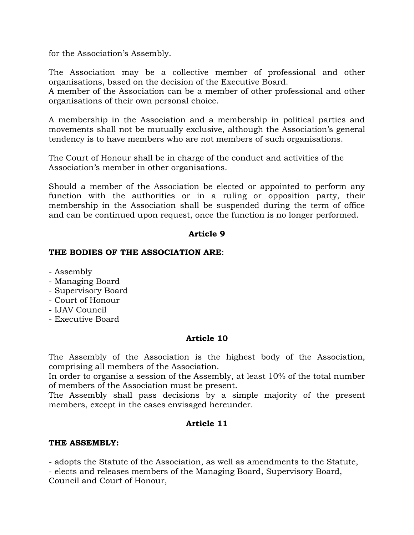for the Association's Assembly.

The Association may be a collective member of professional and other organisations, based on the decision of the Executive Board.

A member of the Association can be a member of other professional and other organisations of their own personal choice.

A membership in the Association and a membership in political parties and movements shall not be mutually exclusive, although the Association's general tendency is to have members who are not members of such organisations.

The Court of Honour shall be in charge of the conduct and activities of the Association's member in other organisations.

Should a member of the Association be elected or appointed to perform any function with the authorities or in a ruling or opposition party, their membership in the Association shall be suspended during the term of office and can be continued upon request, once the function is no longer performed.

### **Article 9**

#### **THE BODIES OF THE ASSOCIATION ARE**:

- Assembly
- Managing Board
- Supervisory Board
- Court of Honour
- IJAV Council
- Executive Board

# **Article 10**

The Assembly of the Association is the highest body of the Association, comprising all members of the Association.

In order to organise a session of the Assembly, at least 10% of the total number of members of the Association must be present.

The Assembly shall pass decisions by a simple majority of the present members, except in the cases envisaged hereunder.

# **Article 11**

#### **THE ASSEMBLY:**

- adopts the Statute of the Association, as well as amendments to the Statute,

- elects and releases members of the Managing Board, Supervisory Board, Council and Court of Honour,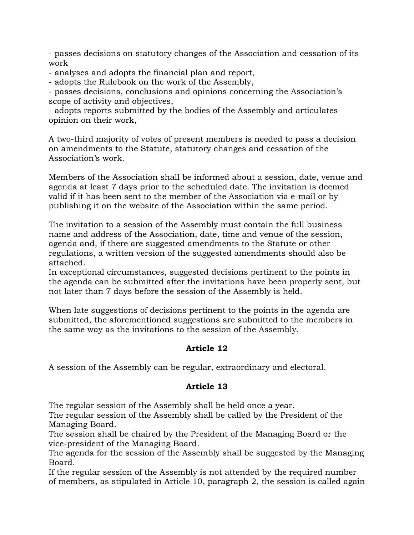- passes decisions on statutory changes of the Association and cessation of its work

- analyses and adopts the financial plan and report,

- adopts the Rulebook on the work of the Assembly,

- passes decisions, conclusions and opinions concerning the Association's scope of activity and objectives,

- adopts reports submitted by the bodies of the Assembly and articulates opinion on their work,

A two-third majority of votes of present members is needed to pass a decision on amendments to the Statute, statutory changes and cessation of the Association's work.

Members of the Association shall be informed about a session, date, venue and agenda at least 7 days prior to the scheduled date. The invitation is deemed valid if it has been sent to the member of the Association via e-mail or by publishing it on the website of the Association within the same period.

The invitation to a session of the Assembly must contain the full business name and address of the Association, date, time and venue of the session, agenda and, if there are suggested amendments to the Statute or other regulations, a written version of the suggested amendments should also be attached.

In exceptional circumstances, suggested decisions pertinent to the points in the agenda can be submitted after the invitations have been properly sent, but not later than 7 days before the session of the Assembly is held.

When late suggestions of decisions pertinent to the points in the agenda are submitted, the aforementioned suggestions are submitted to the members in the same way as the invitations to the session of the Assembly.

# **Article 12**

A session of the Assembly can be regular, extraordinary and electoral.

# **Article 13**

The regular session of the Assembly shall be held once a year.

The regular session of the Assembly shall be called by the President of the Managing Board.

The session shall be chaired by the President of the Managing Board or the vice-president of the Managing Board.

The agenda for the session of the Assembly shall be suggested by the Managing Board.

If the regular session of the Assembly is not attended by the required number of members, as stipulated in Article 10, paragraph 2, the session is called again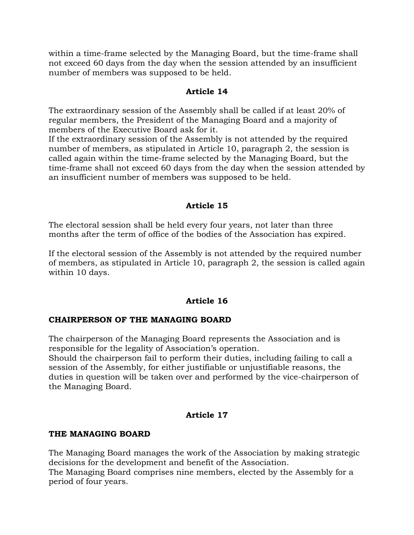within a time-frame selected by the Managing Board, but the time-frame shall not exceed 60 days from the day when the session attended by an insufficient number of members was supposed to be held.

#### **Article 14**

The extraordinary session of the Assembly shall be called if at least 20% of regular members, the President of the Managing Board and a majority of members of the Executive Board ask for it.

If the extraordinary session of the Assembly is not attended by the required number of members, as stipulated in Article 10, paragraph 2, the session is called again within the time-frame selected by the Managing Board, but the time-frame shall not exceed 60 days from the day when the session attended by an insufficient number of members was supposed to be held.

### **Article 15**

The electoral session shall be held every four years, not later than three months after the term of office of the bodies of the Association has expired.

If the electoral session of the Assembly is not attended by the required number of members, as stipulated in Article 10, paragraph 2, the session is called again within 10 days.

# **Article 16**

# **CHAIRPERSON OF THE MANAGING BOARD**

The chairperson of the Managing Board represents the Association and is responsible for the legality of Association's operation.

Should the chairperson fail to perform their duties, including failing to call a session of the Assembly, for either justifiable or unjustifiable reasons, the duties in question will be taken over and performed by the vice-chairperson of the Managing Board.

# **Article 17**

# **THE MANAGING BOARD**

The Managing Board manages the work of the Association by making strategic decisions for the development and benefit of the Association. The Managing Board comprises nine members, elected by the Assembly for a period of four years.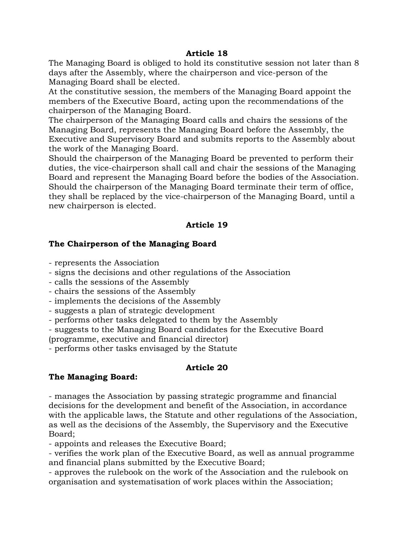#### **Article 18**

The Managing Board is obliged to hold its constitutive session not later than 8 days after the Assembly, where the chairperson and vice-person of the Managing Board shall be elected.

At the constitutive session, the members of the Managing Board appoint the members of the Executive Board, acting upon the recommendations of the chairperson of the Managing Board.

The chairperson of the Managing Board calls and chairs the sessions of the Managing Board, represents the Managing Board before the Assembly, the Executive and Supervisory Board and submits reports to the Assembly about the work of the Managing Board.

Should the chairperson of the Managing Board be prevented to perform their duties, the vice-chairperson shall call and chair the sessions of the Managing Board and represent the Managing Board before the bodies of the Association. Should the chairperson of the Managing Board terminate their term of office, they shall be replaced by the vice-chairperson of the Managing Board, until a new chairperson is elected.

# **Article 19**

# **The Chairperson of the Managing Board**

- represents the Association

- signs the decisions and other regulations of the Association
- calls the sessions of the Assembly
- chairs the sessions of the Assembly
- implements the decisions of the Assembly
- suggests a plan of strategic development
- performs other tasks delegated to them by the Assembly
- suggests to the Managing Board candidates for the Executive Board

(programme, executive and financial director)

- performs other tasks envisaged by the Statute

# **Article 20**

# **The Managing Board:**

- manages the Association by passing strategic programme and financial decisions for the development and benefit of the Association, in accordance with the applicable laws, the Statute and other regulations of the Association, as well as the decisions of the Assembly, the Supervisory and the Executive Board;

- appoints and releases the Executive Board;

- verifies the work plan of the Executive Board, as well as annual programme and financial plans submitted by the Executive Board;

- approves the rulebook on the work of the Association and the rulebook on organisation and systematisation of work places within the Association;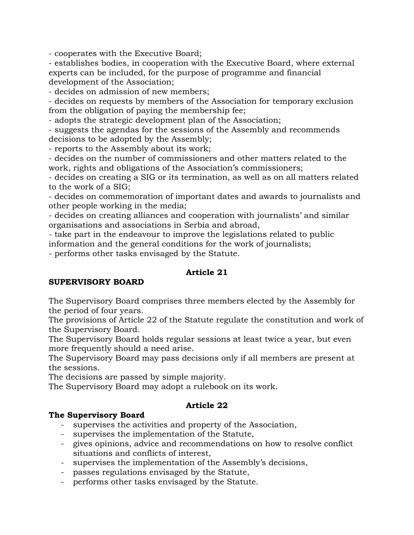- cooperates with the Executive Board;

- establishes bodies, in cooperation with the Executive Board, where external experts can be included, for the purpose of programme and financial development of the Association;

- decides on admission of new members;

- decides on requests by members of the Association for temporary exclusion from the obligation of paying the membership fee;

- adopts the strategic development plan of the Association;

- suggests the agendas for the sessions of the Assembly and recommends decisions to be adopted by the Assembly;

- reports to the Assembly about its work;

- decides on the number of commissioners and other matters related to the work, rights and obligations of the Association's commissioners;

- decides on creating a SIG or its termination, as well as on all matters related to the work of a SIG;

- decides on commemoration of important dates and awards to journalists and other people working in the media;

- decides on creating alliances and cooperation with journalists' and similar organisations and associations in Serbia and abroad,

- take part in the endeavour to improve the legislations related to public

information and the general conditions for the work of journalists;

- performs other tasks envisaged by the Statute.

#### **Article 21**

#### **SUPERVISORY BOARD**

The Supervisory Board comprises three members elected by the Assembly for the period of four years.

The provisions of Article 22 of the Statute regulate the constitution and work of the Supervisory Board.

The Supervisory Board holds regular sessions at least twice a year, but even more frequently should a need arise.

The Supervisory Board may pass decisions only if all members are present at the sessions.

The decisions are passed by simple majority.

The Supervisory Board may adopt a rulebook on its work.

#### **Article 22**

#### **The Supervisory Board**

- supervises the activities and property of the Association,
- supervises the implementation of the Statute,
- gives opinions, advice and recommendations on how to resolve conflict situations and conflicts of interest,
- supervises the implementation of the Assembly's decisions,
- passes regulations envisaged by the Statute,
- performs other tasks envisaged by the Statute.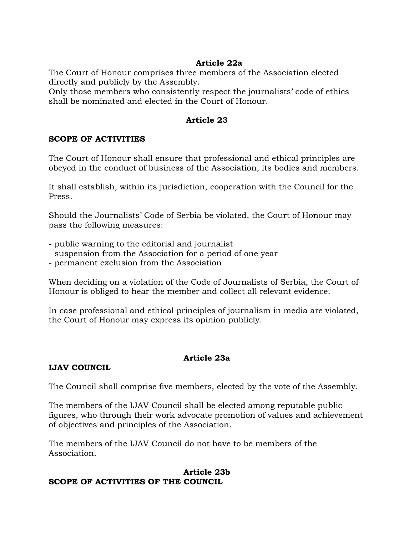### **Article 22a**

The Court of Honour comprises three members of the Association elected directly and publicly by the Assembly.

Only those members who consistently respect the journalists' code of ethics shall be nominated and elected in the Court of Honour.

### **Article 23**

#### **SCOPE OF ACTIVITIES**

The Court of Honour shall ensure that professional and ethical principles are obeyed in the conduct of business of the Association, its bodies and members.

It shall establish, within its jurisdiction, cooperation with the Council for the Press.

Should the Journalists' Code of Serbia be violated, the Court of Honour may pass the following measures:

- public warning to the editorial and journalist

- suspension from the Association for a period of one year
- permanent exclusion from the Association

When deciding on a violation of the Code of Journalists of Serbia, the Court of Honour is obliged to hear the member and collect all relevant evidence.

In case professional and ethical principles of journalism in media are violated, the Court of Honour may express its opinion publicly.

# **Article 23a**

# **IJAV COUNCIL**

The Council shall comprise five members, elected by the vote of the Assembly.

The members of the IJAV Council shall be elected among reputable public figures, who through their work advocate promotion of values and achievement of objectives and principles of the Association.

The members of the IJAV Council do not have to be members of the Association.

#### **Article 23b SCOPE OF ACTIVITIES OF THE COUNCIL**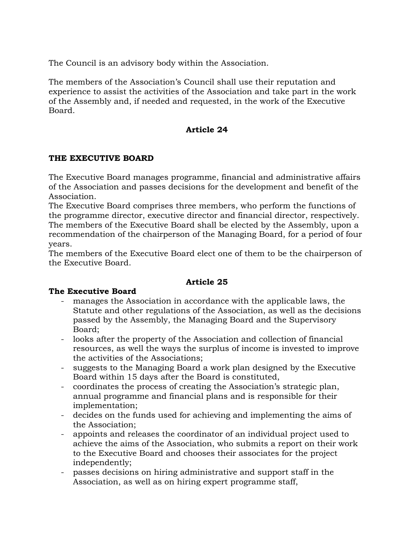The Council is an advisory body within the Association.

The members of the Association's Council shall use their reputation and experience to assist the activities of the Association and take part in the work of the Assembly and, if needed and requested, in the work of the Executive Board.

### **Article 24**

### **THE EXECUTIVE BOARD**

The Executive Board manages programme, financial and administrative affairs of the Association and passes decisions for the development and benefit of the Association.

The Executive Board comprises three members, who perform the functions of the programme director, executive director and financial director, respectively. The members of the Executive Board shall be elected by the Assembly, upon a recommendation of the chairperson of the Managing Board, for a period of four years.

The members of the Executive Board elect one of them to be the chairperson of the Executive Board.

#### **Article 25**

#### **The Executive Board**

- manages the Association in accordance with the applicable laws, the Statute and other regulations of the Association, as well as the decisions passed by the Assembly, the Managing Board and the Supervisory Board;
- looks after the property of the Association and collection of financial resources, as well the ways the surplus of income is invested to improve the activities of the Associations;
- suggests to the Managing Board a work plan designed by the Executive Board within 15 days after the Board is constituted,
- coordinates the process of creating the Association's strategic plan, annual programme and financial plans and is responsible for their implementation;
- decides on the funds used for achieving and implementing the aims of the Association;
- appoints and releases the coordinator of an individual project used to achieve the aims of the Association, who submits a report on their work to the Executive Board and chooses their associates for the project independently;
- passes decisions on hiring administrative and support staff in the Association, as well as on hiring expert programme staff,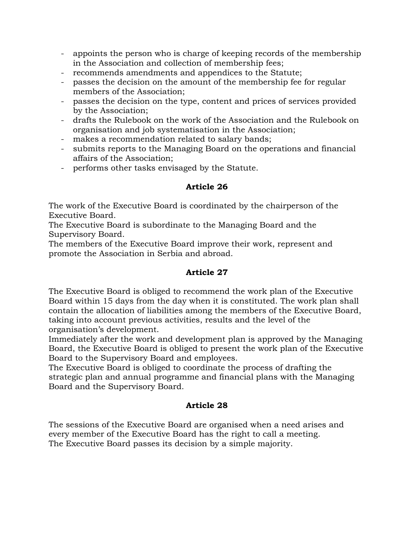- appoints the person who is charge of keeping records of the membership in the Association and collection of membership fees;
- recommends amendments and appendices to the Statute;
- passes the decision on the amount of the membership fee for regular members of the Association;
- passes the decision on the type, content and prices of services provided by the Association;
- drafts the Rulebook on the work of the Association and the Rulebook on organisation and job systematisation in the Association;
- makes a recommendation related to salary bands;
- submits reports to the Managing Board on the operations and financial affairs of the Association;
- performs other tasks envisaged by the Statute.

### **Article 26**

The work of the Executive Board is coordinated by the chairperson of the Executive Board.

The Executive Board is subordinate to the Managing Board and the Supervisory Board.

The members of the Executive Board improve their work, represent and promote the Association in Serbia and abroad.

# **Article 27**

The Executive Board is obliged to recommend the work plan of the Executive Board within 15 days from the day when it is constituted. The work plan shall contain the allocation of liabilities among the members of the Executive Board, taking into account previous activities, results and the level of the organisation's development.

Immediately after the work and development plan is approved by the Managing Board, the Executive Board is obliged to present the work plan of the Executive Board to the Supervisory Board and employees.

The Executive Board is obliged to coordinate the process of drafting the strategic plan and annual programme and financial plans with the Managing Board and the Supervisory Board.

# **Article 28**

The sessions of the Executive Board are organised when a need arises and every member of the Executive Board has the right to call a meeting. The Executive Board passes its decision by a simple majority.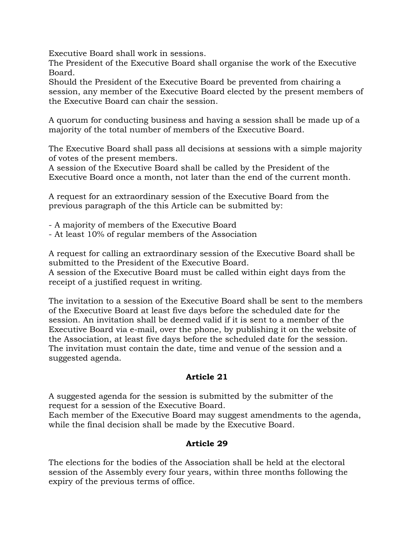Executive Board shall work in sessions.

The President of the Executive Board shall organise the work of the Executive Board.

Should the President of the Executive Board be prevented from chairing a session, any member of the Executive Board elected by the present members of the Executive Board can chair the session.

A quorum for conducting business and having a session shall be made up of a majority of the total number of members of the Executive Board.

The Executive Board shall pass all decisions at sessions with a simple majority of votes of the present members.

A session of the Executive Board shall be called by the President of the Executive Board once a month, not later than the end of the current month.

A request for an extraordinary session of the Executive Board from the previous paragraph of the this Article can be submitted by:

- A majority of members of the Executive Board

- At least 10% of regular members of the Association

A request for calling an extraordinary session of the Executive Board shall be submitted to the President of the Executive Board.

A session of the Executive Board must be called within eight days from the receipt of a justified request in writing.

The invitation to a session of the Executive Board shall be sent to the members of the Executive Board at least five days before the scheduled date for the session. An invitation shall be deemed valid if it is sent to a member of the Executive Board via e-mail, over the phone, by publishing it on the website of the Association, at least five days before the scheduled date for the session. The invitation must contain the date, time and venue of the session and a suggested agenda.

# **Article 21**

A suggested agenda for the session is submitted by the submitter of the request for a session of the Executive Board.

Each member of the Executive Board may suggest amendments to the agenda, while the final decision shall be made by the Executive Board.

# **Article 29**

The elections for the bodies of the Association shall be held at the electoral session of the Assembly every four years, within three months following the expiry of the previous terms of office.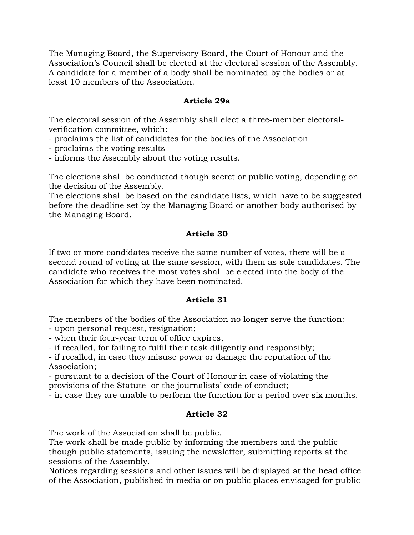The Managing Board, the Supervisory Board, the Court of Honour and the Association's Council shall be elected at the electoral session of the Assembly. A candidate for a member of a body shall be nominated by the bodies or at least 10 members of the Association.

#### **Article 29a**

The electoral session of the Assembly shall elect a three-member electoralverification committee, which:

- proclaims the list of candidates for the bodies of the Association
- proclaims the voting results
- informs the Assembly about the voting results.

The elections shall be conducted though secret or public voting, depending on the decision of the Assembly.

The elections shall be based on the candidate lists, which have to be suggested before the deadline set by the Managing Board or another body authorised by the Managing Board.

# **Article 30**

If two or more candidates receive the same number of votes, there will be a second round of voting at the same session, with them as sole candidates. The candidate who receives the most votes shall be elected into the body of the Association for which they have been nominated.

# **Article 31**

The members of the bodies of the Association no longer serve the function:

- upon personal request, resignation;

- when their four-year term of office expires,

- if recalled, for failing to fulfil their task diligently and responsibly;

- if recalled, in case they misuse power or damage the reputation of the Association;

- pursuant to a decision of the Court of Honour in case of violating the provisions of the Statute or the journalists' code of conduct;

- in case they are unable to perform the function for a period over six months.

# **Article 32**

The work of the Association shall be public.

The work shall be made public by informing the members and the public though public statements, issuing the newsletter, submitting reports at the sessions of the Assembly.

Notices regarding sessions and other issues will be displayed at the head office of the Association, published in media or on public places envisaged for public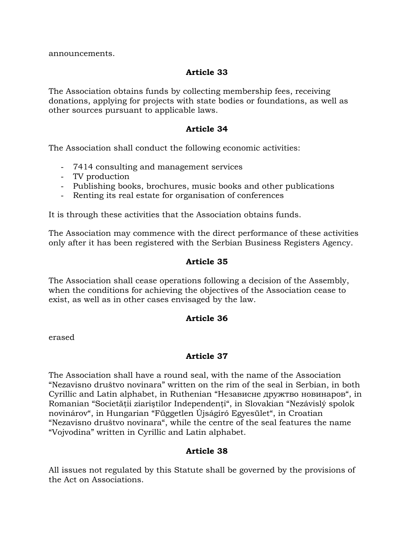announcements.

### **Article 33**

The Association obtains funds by collecting membership fees, receiving donations, applying for projects with state bodies or foundations, as well as other sources pursuant to applicable laws.

#### **Article 34**

The Association shall conduct the following economic activities:

- 7414 consulting and management services
- TV production
- Publishing books, brochures, music books and other publications
- Renting its real estate for organisation of conferences

It is through these activities that the Association obtains funds.

The Association may commence with the direct performance of these activities only after it has been registered with the Serbian Business Registers Agency.

#### **Article 35**

The Association shall cease operations following a decision of the Assembly, when the conditions for achieving the objectives of the Association cease to exist, as well as in other cases envisaged by the law.

#### **Article 36**

erased

#### **Article 37**

The Association shall have a round seal, with the name of the Association "Nezavisno društvo novinara" written on the rim of the seal in Serbian, in both Cyrillic and Latin alphabet, in Ruthenian "Независне дружтво новинаров", in Romanian "Societăţii ziariştilor Independenţi", in Slovakian "Nezávislý spolok novinárov", in Hungarian "Független Újságíró Egyesület", in Croatian "Nezavisno društvo novinara", while the centre of the seal features the name "Vojvodina" written in Cyrillic and Latin alphabet.

#### **Article 38**

All issues not regulated by this Statute shall be governed by the provisions of the Act on Associations.